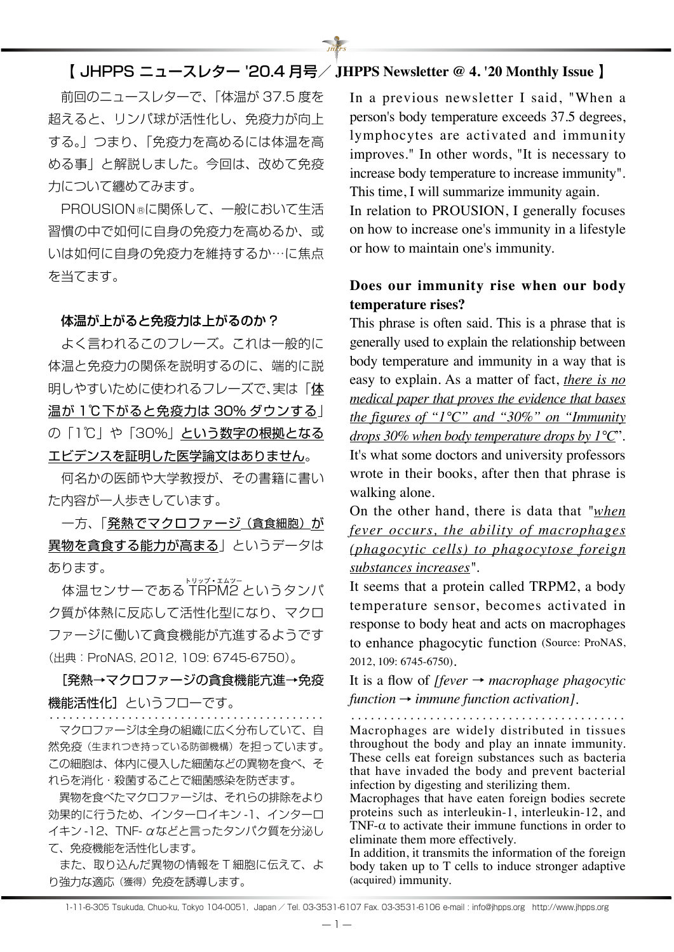# 【 JHPPS ニュースレター '20.4 月号/ **JHPPS Newsletter @ 4. '20 Monthly Issue** 】

 $\overrightarrow{H}$ 

 前回のニュースレターで、「体温が 37.5 度を 超えると、リンパ球が活性化し、免疫力が向上 する。」つまり、「免疫力を高めるには体温を高 める事」と解説しました。今回は、改めて免疫 力について纏めてみます。

 PROUSION Ⓡに関係して、一般において生活 習慣の中で如何に自身の免疫力を高めるか、或 いは如何に自身の免疫力を維持するか…に焦点 を当てます。

#### 体温が上がると免疫力は上がるのか ?

 よく言われるこのフレーズ。これは一般的に 体温と免疫力の関係を説明するのに、端的に説 明しやすいために使われるフレーズで、実は「体 温が 1℃下がると免疫力は 30% ダウンする」 の「1℃」や「30%」という数字の根拠となる エビデンスを証明した医学論文はありません。

 何名かの医師や大学教授が、その書籍に書い た内容が一人歩きしています。

一方、「発熱でマクロファージ(貪食細胞)が 異物を貪食する能力が高まる」というデータは あります。

 体温センサーである T トリップ・エムツー RPM2 というタンパ ク質が体熱に反応して活性化型になり、マクロ ファージに働いて貪食機能が亢進するようです (出典:ProNAS, 2012, 109: 6745-6750)。

[発熱→マクロファージの貪食機能亢進→免疫 機能活性化]というフローです。

 マクロファージは全身の組織に広く分布していて、自 然免疫(生まれつき持っている防御機構)を担っています。 この細胞は、体内に侵入した細菌などの異物を食べ、そ れらを消化・殺菌することで細菌感染を防ぎます。

 異物を食べたマクロファージは、それらの排除をより 効果的に行うため、インターロイキン -1、インターロ イキン -12、TNF- αなどと言ったタンパク質を分泌し て、免疫機能を活性化します。

 また、取り込んだ異物の情報を T 細胞に伝えて、よ り強力な適応(獲得)免疫を誘導します。

In a previous newsletter I said, "When a person's body temperature exceeds 37.5 degrees, lymphocytes are activated and immunity improves." In other words, "It is necessary to increase body temperature to increase immunity". This time, I will summarize immunity again.

In relation to PROUSION, I generally focuses on how to increase one's immunity in a lifestyle or how to maintain one's immunity.

## **Does our immunity rise when our body temperature rises?**

This phrase is often said. This is a phrase that is generally used to explain the relationship between body temperature and immunity in a way that is easy to explain. As a matter of fact, *there is no medical paper that proves the evidence that bases the figures of "1°C" and "30%" on "Immunity drops 30% when body temperature drops by 1°C*". It's what some doctors and university professors wrote in their books, after then that phrase is walking alone.

On the other hand, there is data that *"when fever occurs, the ability of macrophages (phagocytic cells) to phagocytose foreign substances increases"*.

It seems that a protein called TRPM2, a body temperature sensor, becomes activated in response to body heat and acts on macrophages to enhance phagocytic function (Source: ProNAS, 2012, 109: 6745-6750).

It is a flow of *[fever* → *macrophage phagocytic function* → *immune function activation]*.

・・・・・・・・・・・・・・・・・・・・・・・・・・・・・・・・・・・・・・・・・・ ・・・・・・・・・・・・・・・・・・・・・・・・・・・・・・・・・・・・・・・・・・

Macrophages are widely distributed in tissues throughout the body and play an innate immunity. These cells eat foreign substances such as bacteria that have invaded the body and prevent bacterial infection by digesting and sterilizing them.

Macrophages that have eaten foreign bodies secrete proteins such as interleukin-1, interleukin-12, and TNF- $\alpha$  to activate their immune functions in order to eliminate them more effectively.

In addition, it transmits the information of the foreign body taken up to T cells to induce stronger adaptive (acquired) immunity.

1-11-6-305 Tsukuda, Chuo-ku, Tokyo 104-0051, Japan / Tel. 03-3531-6107 Fax. 03-3531-6106 e-mail : info@jhpps.org http://www.jhpps.org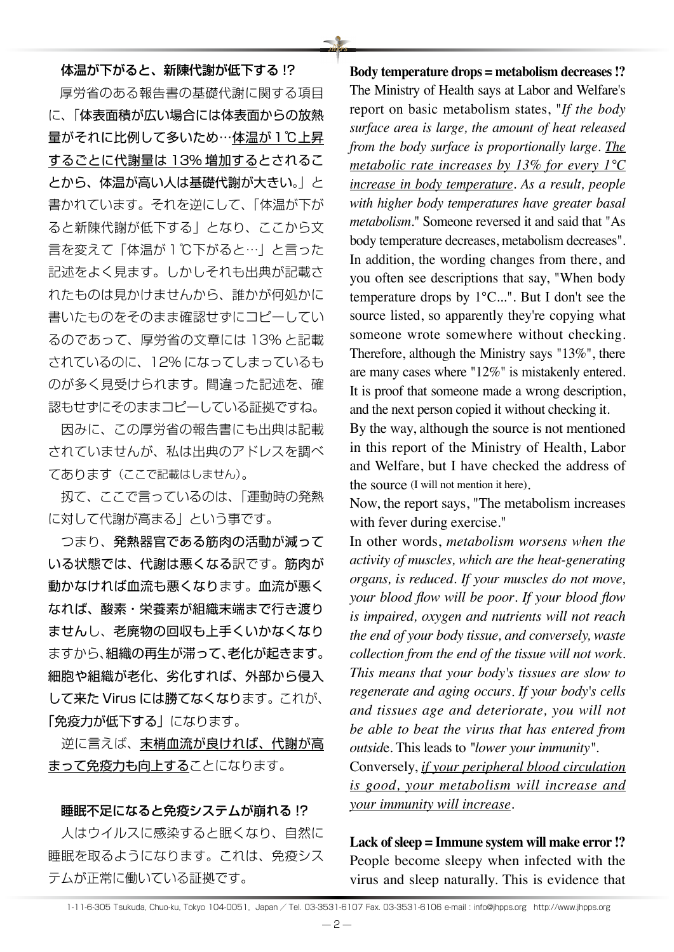体温が下がると、新陳代謝が低下する !? 厚労省のある報告書の基礎代謝に関する項目 に、「体表面積が広い場合には体表面からの放熱 量がそれに比例して多いため…体温が1℃上昇 するごとに代謝量は 13% 増加するとされるこ とから、体温が高い人は基礎代謝が大きい。」と 書かれています。それを逆にして、「体温が下が ると新陳代謝が低下する」となり、ここから文 言を変えて「体温が1℃下がると…」と言った 記述をよく見ます。しかしそれも出典が記載さ れたものは見かけませんから、誰かが何処かに 書いたものをそのまま確認せずにコピーしてい るのであって、厚労省の文章には 13% と記載 されているのに、12% になってしまっているも のが多く見受けられます。間違った記述を、確 認もせずにそのままコピーしている証拠ですね。

 因みに、この厚労省の報告書にも出典は記載 されていませんが、私は出典のアドレスを調べ てあります(ここで記載はしません)。

 扨て、ここで言っているのは、「運動時の発熱 に対して代謝が高まる」という事です。

 つまり、発熱器官である筋肉の活動が減って いる状態では、代謝は悪くなる訳です。筋肉が 動かなければ血流も悪くなります。血流が悪く なれば、酸素・栄養素が組織末端まで行き渡り ませんし、老廃物の回収も上手くいかなくなり ますから、組織の再生が滞って、老化が起きます。 細胞や組織が老化、劣化すれば、外部から侵入 して来た Virus には勝てなくなります。これが、 「免疫力が低下する」になります。

逆に言えば、末梢血流が良ければ、代謝が高 まって免疫力も向上することになります。

### 睡眠不足になると免疫システムが崩れる !?

 人はウイルスに感染すると眠くなり、自然に 睡眠を取るようになります。これは、免疫シス テムが正常に働いている証拠です。

**Body temperature drops = metabolism decreases !?** The Ministry of Health says at Labor and Welfare's report on basic metabolism states, "*If the body surface area is large, the amount of heat released from the body surface is proportionally large. The metabolic rate increases by 13% for every 1°C increase in body temperature. As a result, people with higher body temperatures have greater basal metabolism.*" Someone reversed it and said that "As body temperature decreases, metabolism decreases". In addition, the wording changes from there, and you often see descriptions that say, "When body temperature drops by 1°C...". But I don't see the source listed, so apparently they're copying what someone wrote somewhere without checking. Therefore, although the Ministry says "13%", there are many cases where "12%" is mistakenly entered. It is proof that someone made a wrong description, and the next person copied it without checking it.

By the way, although the source is not mentioned in this report of the Ministry of Health, Labor and Welfare, but I have checked the address of the source (I will not mention it here).

Now, the report says, "The metabolism increases with fever during exercise."

In other words, *metabolism worsens when the activity of muscles, which are the heat-generating organs, is reduced*. *If your muscles do not move, your blood flow will be poor*. *If your blood flow is impaired, oxygen and nutrients will not reach the end of your body tissue, and conversely, waste collection from the end of the tissue will not work*. *This means that your body's tissues are slow to regenerate and aging occurs*. *If your body's cells and tissues age and deteriorate, you will not be able to beat the virus that has entered from outsid*e. This leads to *"lower your immunity"*.

Conversely, *if your peripheral blood circulation is good, your metabolism will increase and your immunity will increase*.

**Lack of sleep = Immune system will make error !?** People become sleepy when infected with the virus and sleep naturally. This is evidence that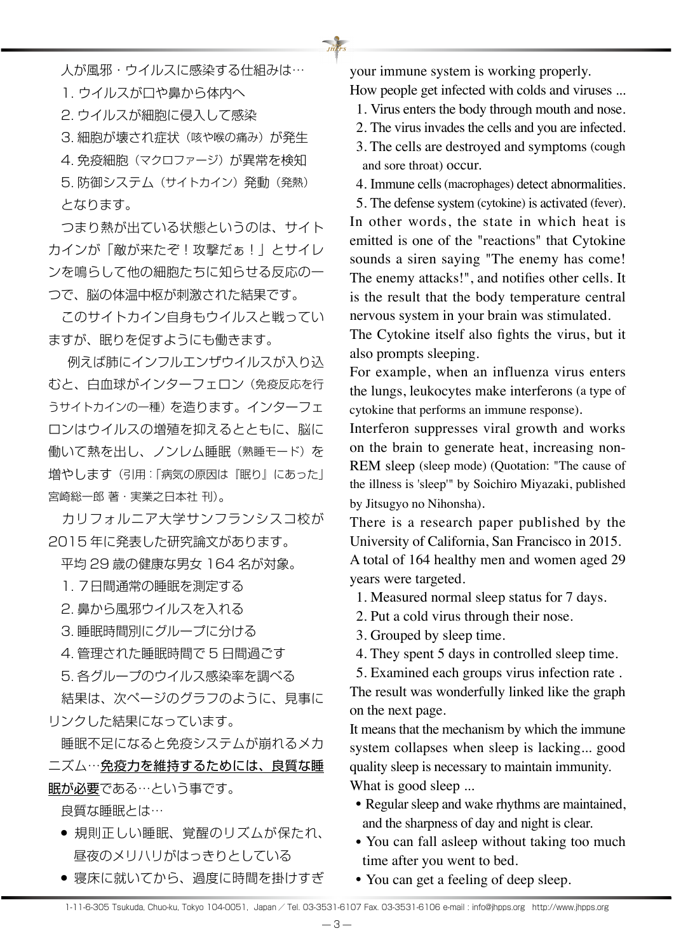人が風邪・ウイルスに感染する仕組みは…

1. ウイルスが口や鼻から体内へ

2. ウイルスが細胞に侵入して感染

3. 細胞が壊され症状(咳や喉の痛み)が発生

4. 免疫細胞(マクロファージ)が異常を検知

 5. 防御システム(サイトカイン)発動(発熱) となります。

 つまり熱が出ている状態というのは、サイト カインが「敵が来たぞ!攻撃だぁ!」とサイレ ンを鳴らして他の細胞たちに知らせる反応の一 つで、脳の体温中枢が刺激された結果です。

 このサイトカイン自身もウイルスと戦ってい ますが、眠りを促すようにも働きます。

 例えば肺にインフルエンザウイルスが入り込 むと、白血球がインターフェロン(免疫反応を行 うサイトカインの一種)を造ります。インターフェ ロンはウイルスの増殖を抑えるとともに、脳に 働いて熱を出し、ノンレム睡眠(熟睡モード)を 増やします(引用:「病気の原因は『眠り』にあった」 宮崎総一郎 著・実業之日本社 刊)。

 カリフォルニア大学サンフランシスコ校が 2015 年に発表した研究論文があります。

平均 29 歳の健康な男女 164 名が対象。

1. 7日間通常の睡眠を測定する

2. 鼻から風邪ウイルスを入れる

3. 睡眠時間別にグループに分ける

4. 管理された睡眠時間で 5 日間過ごす

5. 各グループのウイルス感染率を調べる

 結果は、次ページのグラフのように、見事に リンクした結果になっています。

 睡眠不足になると免疫システムが崩れるメカ ニズム…免疫力を維持するためには、良質な睡 眠が必要である…という事です。

良質な睡眠とは…

- 規則正しい睡眠、覚醒のリズムが保たれ、 昼夜のメリハリがはっきりとしている
- 寝床に就いてから、過度に時間を掛けすぎ

your immune system is working properly.

 $\frac{N}{1HR}$ 

How people get infected with colds and viruses ... 1. Virus enters the body through mouth and nose.

2. The virus invades the cells and you are infected.

3. The cells are destroyed and symptoms (cough and sore throat) occur.

4. Immune cells (macrophages) detect abnormalities.

5. The defense system (cytokine) is activated (fever). In other words, the state in which heat is emitted is one of the "reactions" that Cytokine

sounds a siren saying "The enemy has come! The enemy attacks!", and notifies other cells. It is the result that the body temperature central nervous system in your brain was stimulated.

The Cytokine itself also fights the virus, but it also prompts sleeping.

For example, when an influenza virus enters the lungs, leukocytes make interferons (a type of cytokine that performs an immune response).

Interferon suppresses viral growth and works on the brain to generate heat, increasing non-REM sleep (sleep mode) (Quotation: "The cause of the illness is 'sleep'" by Soichiro Miyazaki, published by Jitsugyo no Nihonsha).

There is a research paper published by the University of California, San Francisco in 2015. A total of 164 healthy men and women aged 29 years were targeted.

1. Measured normal sleep status for 7 days.

2. Put a cold virus through their nose.

3. Grouped by sleep time.

4. They spent 5 days in controlled sleep time.

5. Examined each groups virus infection rate .

The result was wonderfully linked like the graph on the next page.

It means that the mechanism by which the immune system collapses when sleep is lacking... good quality sleep is necessary to maintain immunity. What is good sleep ...

- Regular sleep and wake rhythms are maintained, and the sharpness of day and night is clear.
- You can fall asleep without taking too much time after you went to bed.
- You can get a feeling of deep sleep.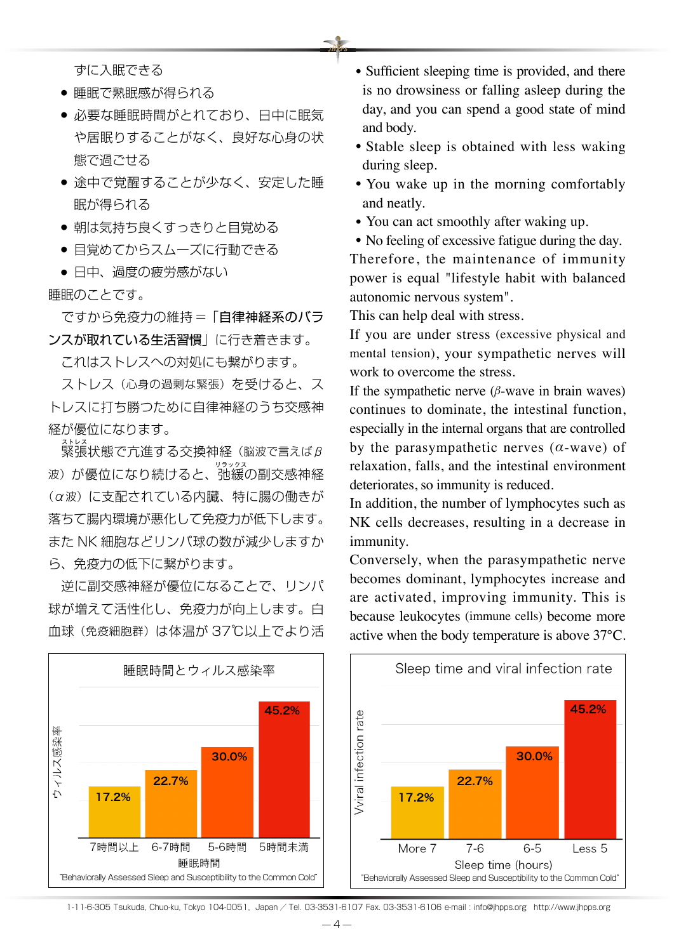ずに入眠できる

- 睡眠で熟眠感が得られる
- 必要な睡眠時間がとれており、日中に眠気 や居眠りすることがなく、良好な心身の状 態で過ごせる
- 涂中で覚醒することが少なく、安定した睡 眠が得られる
- 朝は気持ち良くすっきりと目覚める
- 目覚めてからスムーズに行動できる
- 日中、過度の疲労感がない
- 睡眠のことです。

 ですから免疫力の維持 =「自律神経系のバラ ンスが取れている生活習慣」に行き着きます。

これはストレスへの対処にも繋がります。

 ストレス(心身の過剰な緊張)を受けると、ス トレスに打ち勝つために自律神経のうち交感神 経が優位になります。

<sub>ストレス</sub><br>緊張状態で亢進する交換神経(脳波で言えばβ <sub>波)が優位になり続けると、弛緩の副交感神経</sub> (α波)に支配されている内臓、特に腸の働きが 落ちて腸内環境が悪化して免疫力が低下します。 また NK 細胞などリンパ球の数が減少しますか ら、免疫力の低下に繋がります。

 逆に副交感神経が優位になることで、リンパ 球が増えて活性化し、免疫力が向上します。白 血球(免疫細胞群)は体温が 37℃以上でより活

- Sufficient sleeping time is provided, and there is no drowsiness or falling asleep during the day, and you can spend a good state of mind and body.
- Stable sleep is obtained with less waking during sleep.
- You wake up in the morning comfortably and neatly.
- You can act smoothly after waking up.

• No feeling of excessive fatigue during the day. Therefore, the maintenance of immunity power is equal "lifestyle habit with balanced autonomic nervous system".

This can help deal with stress.

If you are under stress (excessive physical and mental tension), your sympathetic nerves will work to overcome the stress.

If the sympathetic nerve  $(\beta$ -wave in brain waves) continues to dominate, the intestinal function, especially in the internal organs that are controlled by the parasympathetic nerves (*α*-wave) of relaxation, falls, and the intestinal environment deteriorates, so immunity is reduced.

In addition, the number of lymphocytes such as NK cells decreases, resulting in a decrease in immunity.

Conversely, when the parasympathetic nerve becomes dominant, lymphocytes increase and are activated, improving immunity. This is because leukocytes (immune cells) become more active when the body temperature is above 37°C.



1-11-6-305 Tsukuda, Chuo-ku, Tokyo 104-0051, Japan / Tel. 03-3531-6107 Fax. 03-3531-6106 e-mail : info@jhpps.org http://www.jhpps.org